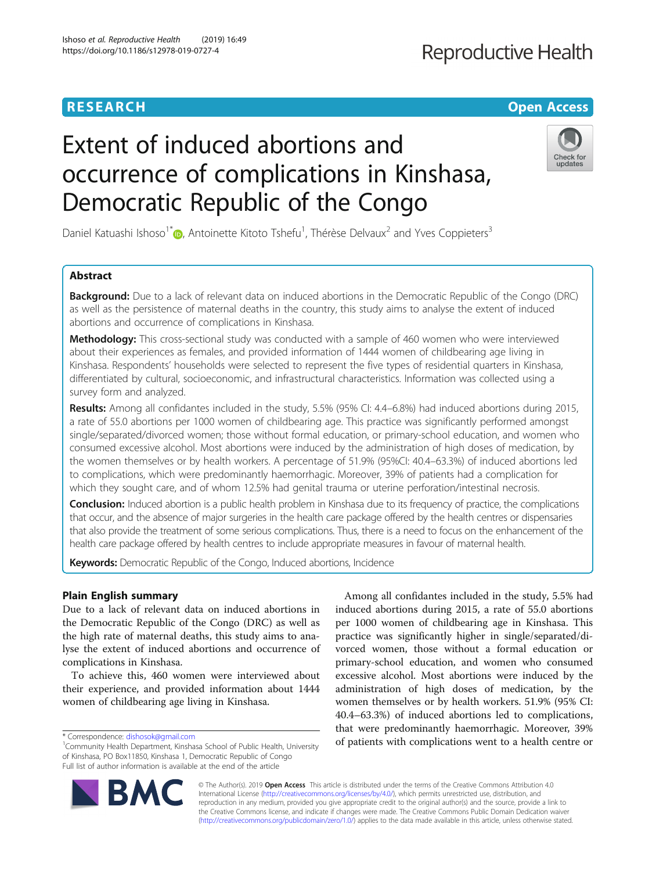# Reproductive Health

# **RESEARCH CHEAR CHEAR CHEAR CHEAR CHEAR CHEAR CHEAR CHEAR CHEAR CHEAR CHEAR CHEAR CHEAR CHEAR CHEAR CHEAR CHEAR**

# Extent of induced abortions and occurrence of complications in Kinshasa, Democratic Republic of the Congo



Daniel Katuashi Ishoso<sup>1[\\*](http://orcid.org/0000-0001-9392-1316)</sup> (D, Antoinette Kitoto Tshefu<sup>1</sup>, Thérèse Delvaux<sup>2</sup> and Yves Coppieters<sup>3</sup>

# Abstract

**Background:** Due to a lack of relevant data on induced abortions in the Democratic Republic of the Congo (DRC) as well as the persistence of maternal deaths in the country, this study aims to analyse the extent of induced abortions and occurrence of complications in Kinshasa.

Methodology: This cross-sectional study was conducted with a sample of 460 women who were interviewed about their experiences as females, and provided information of 1444 women of childbearing age living in Kinshasa. Respondents' households were selected to represent the five types of residential quarters in Kinshasa, differentiated by cultural, socioeconomic, and infrastructural characteristics. Information was collected using a survey form and analyzed.

Results: Among all confidantes included in the study, 5.5% (95% CI: 4.4–6.8%) had induced abortions during 2015, a rate of 55.0 abortions per 1000 women of childbearing age. This practice was significantly performed amongst single/separated/divorced women; those without formal education, or primary-school education, and women who consumed excessive alcohol. Most abortions were induced by the administration of high doses of medication, by the women themselves or by health workers. A percentage of 51.9% (95%CI: 40.4–63.3%) of induced abortions led to complications, which were predominantly haemorrhagic. Moreover, 39% of patients had a complication for which they sought care, and of whom 12.5% had genital trauma or uterine perforation/intestinal necrosis.

Conclusion: Induced abortion is a public health problem in Kinshasa due to its frequency of practice, the complications that occur, and the absence of major surgeries in the health care package offered by the health centres or dispensaries that also provide the treatment of some serious complications. Thus, there is a need to focus on the enhancement of the health care package offered by health centres to include appropriate measures in favour of maternal health.

Keywords: Democratic Republic of the Congo, Induced abortions, Incidence

# Plain English summary

Due to a lack of relevant data on induced abortions in the Democratic Republic of the Congo (DRC) as well as the high rate of maternal deaths, this study aims to analyse the extent of induced abortions and occurrence of complications in Kinshasa.

To achieve this, 460 women were interviewed about their experience, and provided information about 1444 women of childbearing age living in Kinshasa.

Among all confidantes included in the study, 5.5% had induced abortions during 2015, a rate of 55.0 abortions per 1000 women of childbearing age in Kinshasa. This practice was significantly higher in single/separated/divorced women, those without a formal education or primary-school education, and women who consumed excessive alcohol. Most abortions were induced by the administration of high doses of medication, by the women themselves or by health workers. 51.9% (95% CI: 40.4–63.3%) of induced abortions led to complications, that were predominantly haemorrhagic. Moreover, 39% of patients with complications went to a health centre or



© The Author(s). 2019 **Open Access** This article is distributed under the terms of the Creative Commons Attribution 4.0 International License [\(http://creativecommons.org/licenses/by/4.0/](http://creativecommons.org/licenses/by/4.0/)), which permits unrestricted use, distribution, and reproduction in any medium, provided you give appropriate credit to the original author(s) and the source, provide a link to the Creative Commons license, and indicate if changes were made. The Creative Commons Public Domain Dedication waiver [\(http://creativecommons.org/publicdomain/zero/1.0/](http://creativecommons.org/publicdomain/zero/1.0/)) applies to the data made available in this article, unless otherwise stated.

<sup>\*</sup> Correspondence: [dishosok@gmail.com](mailto:dishosok@gmail.com) <sup>1</sup>

<sup>&</sup>lt;sup>1</sup> Community Health Department, Kinshasa School of Public Health, University of Kinshasa, PO Box11850, Kinshasa 1, Democratic Republic of Congo Full list of author information is available at the end of the article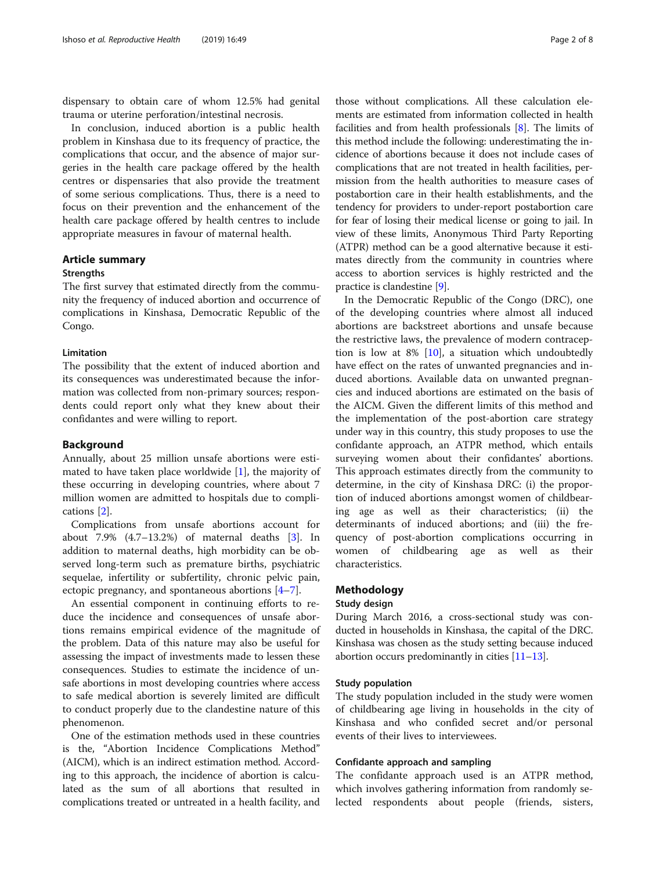dispensary to obtain care of whom 12.5% had genital trauma or uterine perforation/intestinal necrosis.

In conclusion, induced abortion is a public health problem in Kinshasa due to its frequency of practice, the complications that occur, and the absence of major surgeries in the health care package offered by the health centres or dispensaries that also provide the treatment of some serious complications. Thus, there is a need to focus on their prevention and the enhancement of the health care package offered by health centres to include appropriate measures in favour of maternal health.

# Article summary

# **Strengths**

The first survey that estimated directly from the community the frequency of induced abortion and occurrence of complications in Kinshasa, Democratic Republic of the Congo.

## Limitation

The possibility that the extent of induced abortion and its consequences was underestimated because the information was collected from non-primary sources; respondents could report only what they knew about their confidantes and were willing to report.

# Background

Annually, about 25 million unsafe abortions were estimated to have taken place worldwide [\[1](#page-7-0)], the majority of these occurring in developing countries, where about 7 million women are admitted to hospitals due to complications [[2\]](#page-7-0).

Complications from unsafe abortions account for about  $7.9\%$   $(4.7-13.2\%)$  of maternal deaths  $[3]$  $[3]$ . In addition to maternal deaths, high morbidity can be observed long-term such as premature births, psychiatric sequelae, infertility or subfertility, chronic pelvic pain, ectopic pregnancy, and spontaneous abortions [[4](#page-7-0)–[7](#page-7-0)].

An essential component in continuing efforts to reduce the incidence and consequences of unsafe abortions remains empirical evidence of the magnitude of the problem. Data of this nature may also be useful for assessing the impact of investments made to lessen these consequences. Studies to estimate the incidence of unsafe abortions in most developing countries where access to safe medical abortion is severely limited are difficult to conduct properly due to the clandestine nature of this phenomenon.

One of the estimation methods used in these countries is the, "Abortion Incidence Complications Method" (AICM), which is an indirect estimation method. According to this approach, the incidence of abortion is calculated as the sum of all abortions that resulted in complications treated or untreated in a health facility, and

those without complications. All these calculation elements are estimated from information collected in health facilities and from health professionals [\[8](#page-7-0)]. The limits of this method include the following: underestimating the incidence of abortions because it does not include cases of complications that are not treated in health facilities, permission from the health authorities to measure cases of postabortion care in their health establishments, and the tendency for providers to under-report postabortion care for fear of losing their medical license or going to jail. In view of these limits, Anonymous Third Party Reporting (ATPR) method can be a good alternative because it estimates directly from the community in countries where access to abortion services is highly restricted and the practice is clandestine [\[9\]](#page-7-0).

In the Democratic Republic of the Congo (DRC), one of the developing countries where almost all induced abortions are backstreet abortions and unsafe because the restrictive laws, the prevalence of modern contraception is low at  $8\%$  [\[10](#page-7-0)], a situation which undoubtedly have effect on the rates of unwanted pregnancies and induced abortions. Available data on unwanted pregnancies and induced abortions are estimated on the basis of the AICM. Given the different limits of this method and the implementation of the post-abortion care strategy under way in this country, this study proposes to use the confidante approach, an ATPR method, which entails surveying women about their confidantes' abortions. This approach estimates directly from the community to determine, in the city of Kinshasa DRC: (i) the proportion of induced abortions amongst women of childbearing age as well as their characteristics; (ii) the determinants of induced abortions; and (iii) the frequency of post-abortion complications occurring in women of childbearing age as well as their characteristics.

# Methodology

#### Study design

During March 2016, a cross-sectional study was conducted in households in Kinshasa, the capital of the DRC. Kinshasa was chosen as the study setting because induced abortion occurs predominantly in cities [[11](#page-7-0)–[13\]](#page-7-0).

# Study population

The study population included in the study were women of childbearing age living in households in the city of Kinshasa and who confided secret and/or personal events of their lives to interviewees.

# Confidante approach and sampling

The confidante approach used is an ATPR method, which involves gathering information from randomly selected respondents about people (friends, sisters,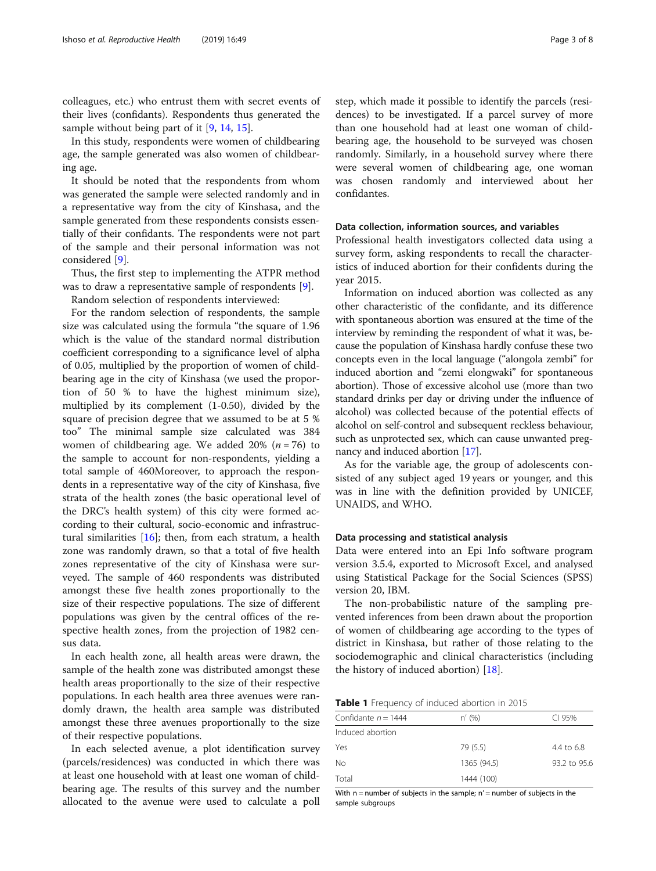<span id="page-2-0"></span>colleagues, etc.) who entrust them with secret events of their lives (confidants). Respondents thus generated the sample without being part of it [[9,](#page-7-0) [14,](#page-7-0) [15\]](#page-7-0).

In this study, respondents were women of childbearing age, the sample generated was also women of childbearing age.

It should be noted that the respondents from whom was generated the sample were selected randomly and in a representative way from the city of Kinshasa, and the sample generated from these respondents consists essentially of their confidants. The respondents were not part of the sample and their personal information was not considered [[9\]](#page-7-0).

Thus, the first step to implementing the ATPR method was to draw a representative sample of respondents [[9\]](#page-7-0).

Random selection of respondents interviewed:

For the random selection of respondents, the sample size was calculated using the formula "the square of 1.96 which is the value of the standard normal distribution coefficient corresponding to a significance level of alpha of 0.05, multiplied by the proportion of women of childbearing age in the city of Kinshasa (we used the proportion of 50 % to have the highest minimum size), multiplied by its complement (1-0.50), divided by the square of precision degree that we assumed to be at 5 % too" The minimal sample size calculated was 384 women of childbearing age. We added 20%  $(n = 76)$  to the sample to account for non-respondents, yielding a total sample of 460Moreover, to approach the respondents in a representative way of the city of Kinshasa, five strata of the health zones (the basic operational level of the DRC's health system) of this city were formed according to their cultural, socio-economic and infrastructural similarities [[16](#page-7-0)]; then, from each stratum, a health zone was randomly drawn, so that a total of five health zones representative of the city of Kinshasa were surveyed. The sample of 460 respondents was distributed amongst these five health zones proportionally to the size of their respective populations. The size of different populations was given by the central offices of the respective health zones, from the projection of 1982 census data.

In each health zone, all health areas were drawn, the sample of the health zone was distributed amongst these health areas proportionally to the size of their respective populations. In each health area three avenues were randomly drawn, the health area sample was distributed amongst these three avenues proportionally to the size of their respective populations.

In each selected avenue, a plot identification survey (parcels/residences) was conducted in which there was at least one household with at least one woman of childbearing age. The results of this survey and the number allocated to the avenue were used to calculate a poll step, which made it possible to identify the parcels (residences) to be investigated. If a parcel survey of more than one household had at least one woman of childbearing age, the household to be surveyed was chosen randomly. Similarly, in a household survey where there were several women of childbearing age, one woman was chosen randomly and interviewed about her confidantes.

# Data collection, information sources, and variables

Professional health investigators collected data using a survey form, asking respondents to recall the characteristics of induced abortion for their confidents during the year 2015.

Information on induced abortion was collected as any other characteristic of the confidante, and its difference with spontaneous abortion was ensured at the time of the interview by reminding the respondent of what it was, because the population of Kinshasa hardly confuse these two concepts even in the local language ("alongola zembi" for induced abortion and "zemi elongwaki" for spontaneous abortion). Those of excessive alcohol use (more than two standard drinks per day or driving under the influence of alcohol) was collected because of the potential effects of alcohol on self-control and subsequent reckless behaviour, such as unprotected sex, which can cause unwanted pregnancy and induced abortion [\[17](#page-7-0)].

As for the variable age, the group of adolescents consisted of any subject aged 19 years or younger, and this was in line with the definition provided by UNICEF, UNAIDS, and WHO.

# Data processing and statistical analysis

Data were entered into an Epi Info software program version 3.5.4, exported to Microsoft Excel, and analysed using Statistical Package for the Social Sciences (SPSS) version 20, IBM.

The non-probabilistic nature of the sampling prevented inferences from been drawn about the proportion of women of childbearing age according to the types of district in Kinshasa, but rather of those relating to the sociodemographic and clinical characteristics (including the history of induced abortion)  $[18]$  $[18]$ .

| Table 1 Frequency of induced abortion in 2015 |  |
|-----------------------------------------------|--|
|-----------------------------------------------|--|

| Confidante $n = 1444$ | $n'$ (%)    | $Cl$ 95%     |
|-----------------------|-------------|--------------|
| Induced abortion      |             |              |
| Yes                   | 79 (5.5)    | 4.4 to 6.8   |
| No                    | 1365 (94.5) | 93.2 to 95.6 |
| Total                 | 1444 (100)  |              |

With  $n =$  number of subjects in the sample;  $n' =$  number of subjects in the sample subgroups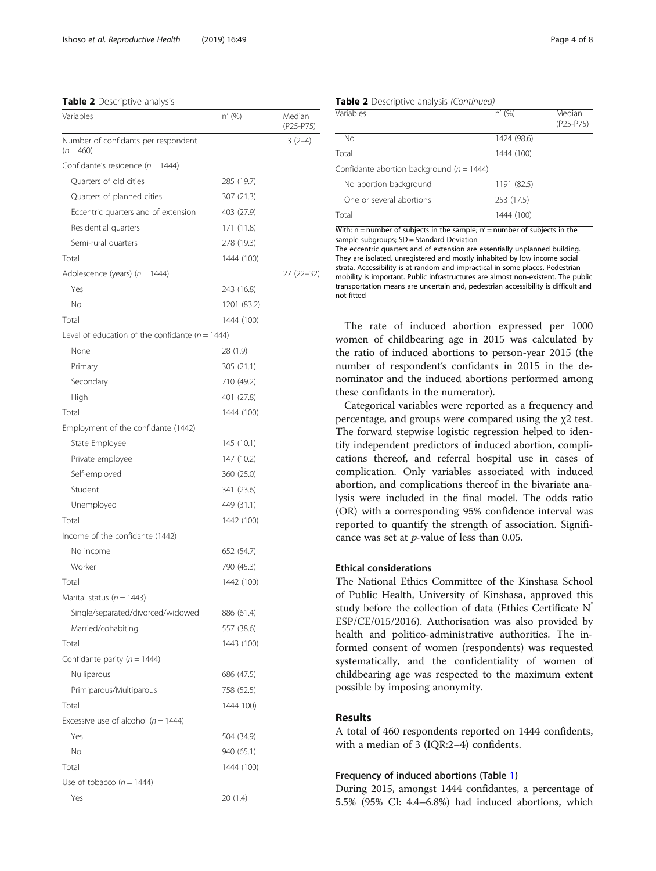#### <span id="page-3-0"></span>Table 2 Descriptive analysis

| Variables                                           | n' (%)      | Median<br>(P25-P75) |
|-----------------------------------------------------|-------------|---------------------|
| Number of confidants per respondent<br>$(n = 460)$  |             | $3(2-4)$            |
| Confidante's residence ( $n = 1444$ )               |             |                     |
| Quarters of old cities                              | 285 (19.7)  |                     |
| Quarters of planned cities                          | 307 (21.3)  |                     |
| Eccentric quarters and of extension                 | 403 (27.9)  |                     |
| Residential quarters                                | 171 (11.8)  |                     |
| Semi-rural quarters                                 | 278 (19.3)  |                     |
| Total                                               | 1444 (100)  |                     |
| Adolescence (years) $(n = 1444)$                    |             | 27 (22–32)          |
| Yes                                                 | 243 (16.8)  |                     |
| No                                                  | 1201 (83.2) |                     |
| Total                                               | 1444 (100)  |                     |
| Level of education of the confidante ( $n = 1444$ ) |             |                     |
| None                                                | 28 (1.9)    |                     |
| Primary                                             | 305 (21.1)  |                     |
| Secondary                                           | 710 (49.2)  |                     |
| High                                                | 401 (27.8)  |                     |
| Total                                               | 1444 (100)  |                     |
| Employment of the confidante (1442)                 |             |                     |
| State Employee                                      | 145 (10.1)  |                     |
| Private employee                                    | 147 (10.2)  |                     |
| Self-employed                                       | 360 (25.0)  |                     |
| Student                                             | 341 (23.6)  |                     |
| Unemployed                                          | 449 (31.1)  |                     |
| Total                                               | 1442 (100)  |                     |
| Income of the confidante (1442)                     |             |                     |
| No income                                           | 652 (54.7)  |                     |
| Worker                                              | 790 (45.3)  |                     |
| Total                                               | 1442 (100)  |                     |
| Marital status ( $n = 1443$ )                       |             |                     |
| Single/separated/divorced/widowed                   | 886 (61.4)  |                     |
| Married/cohabiting                                  | 557 (38.6)  |                     |
| Total                                               | 1443 (100)  |                     |
| Confidante parity ( $n = 1444$ )                    |             |                     |
| Nulliparous                                         | 686 (47.5)  |                     |
| Primiparous/Multiparous                             | 758 (52.5)  |                     |
| Total                                               | 1444 100)   |                     |
| Excessive use of alcohol ( $n = 1444$ )             |             |                     |
| Yes                                                 | 504 (34.9)  |                     |
| No                                                  | 940 (65.1)  |                     |
| Total                                               | 1444 (100)  |                     |
| Use of tobacco ( $n = 1444$ )                       |             |                     |
| Yes                                                 | 20 (1.4)    |                     |
|                                                     |             |                     |

# Table 2 Descriptive analysis (Continued)

| Variables                                     | $n'$ (%)    | Median<br>(P25-P75) |
|-----------------------------------------------|-------------|---------------------|
| <b>No</b>                                     | 1424 (98.6) |                     |
| Total                                         | 1444 (100)  |                     |
| Confidante abortion background ( $n = 1444$ ) |             |                     |
| No abortion background                        | 1191 (82.5) |                     |
| One or several abortions                      | 253 (17.5)  |                     |
| Total                                         | 1444 (100)  |                     |

With:  $n =$  number of subjects in the sample:  $n' =$  number of subjects in the sample subgroups: SD = Standard Deviation

The eccentric quarters and of extension are essentially unplanned building. They are isolated, unregistered and mostly inhabited by low income social strata. Accessibility is at random and impractical in some places. Pedestrian mobility is important. Public infrastructures are almost non-existent. The public transportation means are uncertain and, pedestrian accessibility is difficult and not fitted

The rate of induced abortion expressed per 1000 women of childbearing age in 2015 was calculated by the ratio of induced abortions to person-year 2015 (the number of respondent's confidants in 2015 in the denominator and the induced abortions performed among these confidants in the numerator).

Categorical variables were reported as a frequency and percentage, and groups were compared using the χ2 test. The forward stepwise logistic regression helped to identify independent predictors of induced abortion, complications thereof, and referral hospital use in cases of complication. Only variables associated with induced abortion, and complications thereof in the bivariate analysis were included in the final model. The odds ratio (OR) with a corresponding 95% confidence interval was reported to quantify the strength of association. Significance was set at  $p$ -value of less than 0.05.

# Ethical considerations

The National Ethics Committee of the Kinshasa School of Public Health, University of Kinshasa, approved this study before the collection of data (Ethics Certificate N° ESP/CE/015/2016). Authorisation was also provided by health and politico-administrative authorities. The informed consent of women (respondents) was requested systematically, and the confidentiality of women of childbearing age was respected to the maximum extent possible by imposing anonymity.

# Results

A total of 460 respondents reported on 1444 confidents, with a median of 3 (IQR:2–4) confidents.

# Frequency of induced abortions (Table [1\)](#page-2-0)

During 2015, amongst 1444 confidantes, a percentage of 5.5% (95% CI: 4.4–6.8%) had induced abortions, which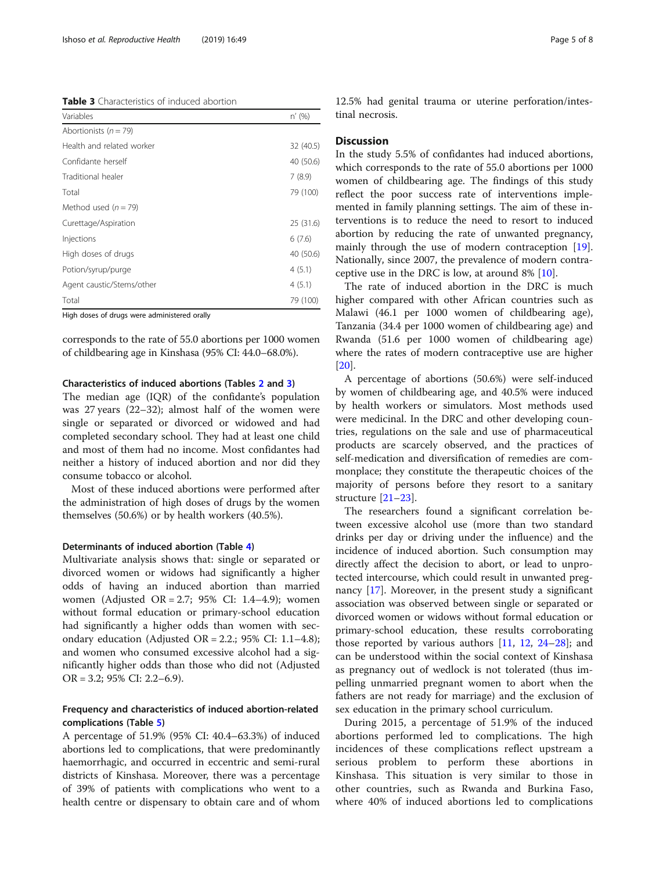Table 3 Characteristics of induced abortion

| Variables                                                           | $n'$ (%)  |
|---------------------------------------------------------------------|-----------|
| Abortionists ( $n = 79$ )                                           |           |
| Health and related worker                                           | 32 (40.5) |
| Confidante herself                                                  | 40 (50.6) |
| Traditional healer                                                  | 7(8.9)    |
| Total                                                               | 79 (100)  |
| Method used $(n = 79)$                                              |           |
| Curettage/Aspiration                                                | 25 (31.6) |
| Injections                                                          | 6(7.6)    |
| High doses of drugs                                                 | 40 (50.6) |
| Potion/syrup/purge                                                  | 4(5.1)    |
| Agent caustic/Stems/other                                           | 4(5.1)    |
| Total                                                               | 79 (100)  |
| that with the book of all components of the test components and the |           |

High doses of drugs were administered orally

corresponds to the rate of 55.0 abortions per 1000 women of childbearing age in Kinshasa (95% CI: 44.0–68.0%).

# Characteristics of induced abortions (Tables [2](#page-3-0) and 3)

The median age (IQR) of the confidante's population was 27 years (22–32); almost half of the women were single or separated or divorced or widowed and had completed secondary school. They had at least one child and most of them had no income. Most confidantes had neither a history of induced abortion and nor did they consume tobacco or alcohol.

Most of these induced abortions were performed after the administration of high doses of drugs by the women themselves (50.6%) or by health workers (40.5%).

# Determinants of induced abortion (Table [4](#page-5-0))

Multivariate analysis shows that: single or separated or divorced women or widows had significantly a higher odds of having an induced abortion than married women (Adjusted OR = 2.7; 95% CI: 1.4–4.9); women without formal education or primary-school education had significantly a higher odds than women with secondary education (Adjusted OR = 2.2.; 95% CI: 1.1–4.8); and women who consumed excessive alcohol had a significantly higher odds than those who did not (Adjusted OR = 3.2; 95% CI: 2.2–6.9).

# Frequency and characteristics of induced abortion-related complications (Table [5](#page-6-0))

A percentage of 51.9% (95% CI: 40.4–63.3%) of induced abortions led to complications, that were predominantly haemorrhagic, and occurred in eccentric and semi-rural districts of Kinshasa. Moreover, there was a percentage of 39% of patients with complications who went to a health centre or dispensary to obtain care and of whom 12.5% had genital trauma or uterine perforation/intestinal necrosis.

# Discussion

In the study 5.5% of confidantes had induced abortions, which corresponds to the rate of 55.0 abortions per 1000 women of childbearing age. The findings of this study reflect the poor success rate of interventions implemented in family planning settings. The aim of these interventions is to reduce the need to resort to induced abortion by reducing the rate of unwanted pregnancy, mainly through the use of modern contraception [\[19](#page-7-0)]. Nationally, since 2007, the prevalence of modern contraceptive use in the DRC is low, at around 8% [[10](#page-7-0)].

The rate of induced abortion in the DRC is much higher compared with other African countries such as Malawi (46.1 per 1000 women of childbearing age), Tanzania (34.4 per 1000 women of childbearing age) and Rwanda (51.6 per 1000 women of childbearing age) where the rates of modern contraceptive use are higher [[20\]](#page-7-0).

A percentage of abortions (50.6%) were self-induced by women of childbearing age, and 40.5% were induced by health workers or simulators. Most methods used were medicinal. In the DRC and other developing countries, regulations on the sale and use of pharmaceutical products are scarcely observed, and the practices of self-medication and diversification of remedies are commonplace; they constitute the therapeutic choices of the majority of persons before they resort to a sanitary structure [[21](#page-7-0)–[23](#page-7-0)].

The researchers found a significant correlation between excessive alcohol use (more than two standard drinks per day or driving under the influence) and the incidence of induced abortion. Such consumption may directly affect the decision to abort, or lead to unprotected intercourse, which could result in unwanted pregnancy [[17\]](#page-7-0). Moreover, in the present study a significant association was observed between single or separated or divorced women or widows without formal education or primary-school education, these results corroborating those reported by various authors [[11,](#page-7-0) [12,](#page-7-0) [24](#page-7-0)–[28\]](#page-7-0); and can be understood within the social context of Kinshasa as pregnancy out of wedlock is not tolerated (thus impelling unmarried pregnant women to abort when the fathers are not ready for marriage) and the exclusion of sex education in the primary school curriculum.

During 2015, a percentage of 51.9% of the induced abortions performed led to complications. The high incidences of these complications reflect upstream a serious problem to perform these abortions in Kinshasa. This situation is very similar to those in other countries, such as Rwanda and Burkina Faso, where 40% of induced abortions led to complications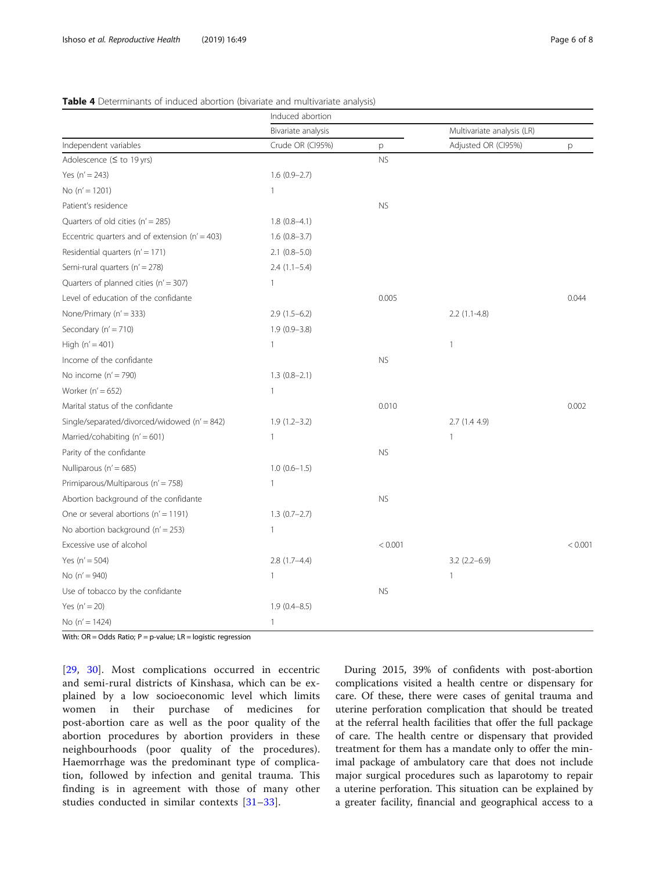# <span id="page-5-0"></span>Table 4 Determinants of induced abortion (bivariate and multivariate analysis)

|                                                    | Induced abortion   |           |                            |         |
|----------------------------------------------------|--------------------|-----------|----------------------------|---------|
|                                                    | Bivariate analysis |           | Multivariate analysis (LR) |         |
| Independent variables                              | Crude OR (CI95%)   | р         | Adjusted OR (CI95%)        | р       |
| Adolescence (≤ to 19 yrs)                          |                    | <b>NS</b> |                            |         |
| Yes $(n' = 243)$                                   | $1.6(0.9 - 2.7)$   |           |                            |         |
| No ( $n' = 1201$ )                                 | $\mathbf{1}$       |           |                            |         |
| Patient's residence                                |                    | <b>NS</b> |                            |         |
| Quarters of old cities ( $n' = 285$ )              | $1.8(0.8-4.1)$     |           |                            |         |
| Eccentric quarters and of extension ( $n' = 403$ ) | $1.6(0.8-3.7)$     |           |                            |         |
| Residential quarters ( $n' = 171$ )                | $2.1(0.8 - 5.0)$   |           |                            |         |
| Semi-rural quarters ( $n' = 278$ )                 | $2.4(1.1-5.4)$     |           |                            |         |
| Quarters of planned cities ( $n' = 307$ )          | 1                  |           |                            |         |
| Level of education of the confidante               |                    | 0.005     |                            | 0.044   |
| None/Primary $(n' = 333)$                          | $2.9(1.5-6.2)$     |           | $2.2(1.1-4.8)$             |         |
| Secondary ( $n' = 710$ )                           | $1.9(0.9 - 3.8)$   |           |                            |         |
| High $(n' = 401)$                                  | $\mathbb{1}$       |           | 1                          |         |
| Income of the confidante                           |                    | <b>NS</b> |                            |         |
| No income $(n' = 790)$                             | $1.3(0.8-2.1)$     |           |                            |         |
| Worker ( $n' = 652$ )                              | 1                  |           |                            |         |
| Marital status of the confidante                   |                    | 0.010     |                            | 0.002   |
| Single/separated/divorced/widowed (n' = 842)       | $1.9(1.2 - 3.2)$   |           | 2.7(1.44.9)                |         |
| Married/cohabiting $(n' = 601)$                    | 1                  |           | 1                          |         |
| Parity of the confidante                           |                    | <b>NS</b> |                            |         |
| Nulliparous ( $n' = 685$ )                         | $1.0(0.6-1.5)$     |           |                            |         |
| Primiparous/Multiparous (n' = 758)                 | $\mathbb{1}$       |           |                            |         |
| Abortion background of the confidante              |                    | <b>NS</b> |                            |         |
| One or several abortions ( $n' = 1191$ )           | $1.3(0.7-2.7)$     |           |                            |         |
| No abortion background ( $n' = 253$ )              | 1                  |           |                            |         |
| Excessive use of alcohol                           |                    | < 0.001   |                            | < 0.001 |
| Yes ( $n' = 504$ )                                 | $2.8(1.7-4.4)$     |           | $3.2$ (2.2-6.9)            |         |
| No $(n' = 940)$                                    | $\mathbf{1}$       |           | 1                          |         |
| Use of tobacco by the confidante                   |                    | <b>NS</b> |                            |         |
| Yes $(n' = 20)$                                    | $1.9(0.4 - 8.5)$   |           |                            |         |
| No $(n' = 1424)$                                   | 1                  |           |                            |         |

With: OR = Odds Ratio; P = p-value; LR = logistic regression

[[29,](#page-7-0) [30\]](#page-7-0). Most complications occurred in eccentric and semi-rural districts of Kinshasa, which can be explained by a low socioeconomic level which limits women in their purchase of medicines for post-abortion care as well as the poor quality of the abortion procedures by abortion providers in these neighbourhoods (poor quality of the procedures). Haemorrhage was the predominant type of complication, followed by infection and genital trauma. This finding is in agreement with those of many other studies conducted in similar contexts [\[31](#page-7-0)–[33](#page-7-0)].

During 2015, 39% of confidents with post-abortion complications visited a health centre or dispensary for care. Of these, there were cases of genital trauma and uterine perforation complication that should be treated at the referral health facilities that offer the full package of care. The health centre or dispensary that provided treatment for them has a mandate only to offer the minimal package of ambulatory care that does not include major surgical procedures such as laparotomy to repair a uterine perforation. This situation can be explained by a greater facility, financial and geographical access to a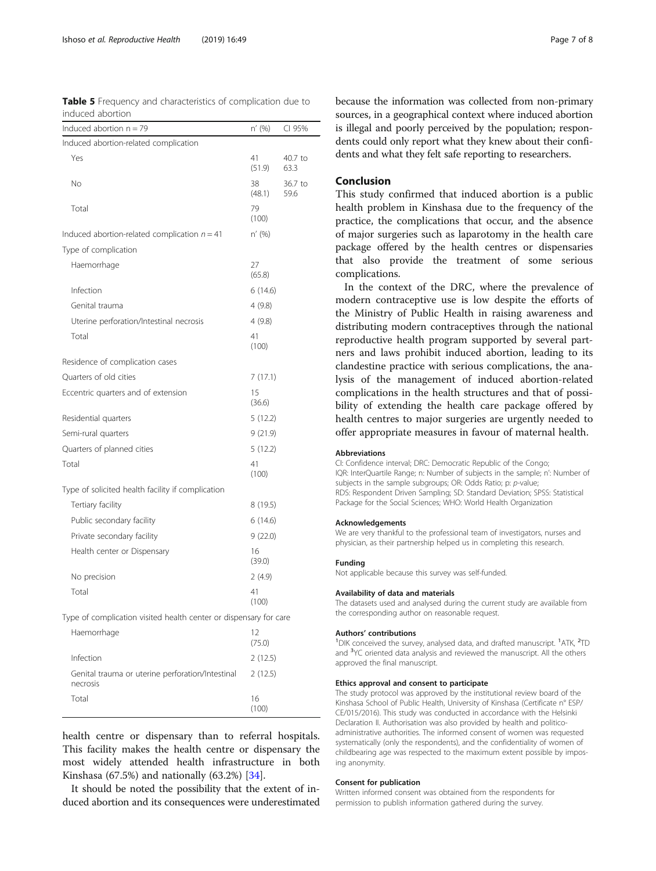| Induced abortion $n = 79$                                         | n' (%)       | CI 95%          |
|-------------------------------------------------------------------|--------------|-----------------|
| Induced abortion-related complication                             |              |                 |
| Yes                                                               | 41<br>(51.9) | 40.7 to<br>63.3 |
| No                                                                | 38<br>(48.1) | 36.7 to<br>59.6 |
| Total                                                             | 79<br>(100)  |                 |
| Induced abortion-related complication $n = 41$                    | $n'$ (%)     |                 |
| Type of complication                                              |              |                 |
| Haemorrhage                                                       | 27<br>(65.8) |                 |
| Infection                                                         | 6(14.6)      |                 |
| Genital trauma                                                    | 4(9.8)       |                 |
| Uterine perforation/Intestinal necrosis                           | 4(9.8)       |                 |
| Total                                                             | 41<br>(100)  |                 |
| Residence of complication cases                                   |              |                 |
| Quarters of old cities                                            | 7(17.1)      |                 |
| Eccentric quarters and of extension                               | 15<br>(36.6) |                 |
| Residential quarters                                              | 5 (12.2)     |                 |
| Semi-rural quarters                                               | 9 (21.9)     |                 |
| Quarters of planned cities                                        | 5(12.2)      |                 |
| Total                                                             | 41<br>(100)  |                 |
| Type of solicited health facility if complication                 |              |                 |
| Tertiary facility                                                 | 8 (19.5)     |                 |
| Public secondary facility                                         | 6(14.6)      |                 |
| Private secondary facility                                        | 9(22.0)      |                 |
| Health center or Dispensary                                       | 16<br>(39.0) |                 |
| No precision                                                      | 2(4.9)       |                 |
| Total                                                             | 41<br>(100)  |                 |
| Type of complication visited health center or dispensary for care |              |                 |
| Haemorrhage                                                       | 12<br>(75.0) |                 |
| Infection                                                         | 2(12.5)      |                 |
| Genital trauma or uterine perforation/Intestinal<br>necrosis      | 2(12.5)      |                 |

<span id="page-6-0"></span>Table 5 Frequency and characteristics of complication due to induced abortion

health centre or dispensary than to referral hospitals. This facility makes the health centre or dispensary the most widely attended health infrastructure in both Kinshasa (67.5%) and nationally (63.2%) [\[34\]](#page-7-0).

 $(100)$ 

Total 16

It should be noted the possibility that the extent of induced abortion and its consequences were underestimated

because the information was collected from non-primary sources, in a geographical context where induced abortion is illegal and poorly perceived by the population; respondents could only report what they knew about their confidents and what they felt safe reporting to researchers.

# Conclusion

This study confirmed that induced abortion is a public health problem in Kinshasa due to the frequency of the practice, the complications that occur, and the absence of major surgeries such as laparotomy in the health care package offered by the health centres or dispensaries that also provide the treatment of some serious complications.

In the context of the DRC, where the prevalence of modern contraceptive use is low despite the efforts of the Ministry of Public Health in raising awareness and distributing modern contraceptives through the national reproductive health program supported by several partners and laws prohibit induced abortion, leading to its clandestine practice with serious complications, the analysis of the management of induced abortion-related complications in the health structures and that of possibility of extending the health care package offered by health centres to major surgeries are urgently needed to offer appropriate measures in favour of maternal health.

#### Abbreviations

CI: Confidence interval; DRC: Democratic Republic of the Congo; IQR: InterQuartile Range; n: Number of subjects in the sample; n': Number of subjects in the sample subgroups; OR: Odds Ratio; p: p-value; RDS: Respondent Driven Sampling; SD: Standard Deviation; SPSS: Statistical Package for the Social Sciences; WHO: World Health Organization

#### Acknowledgements

We are very thankful to the professional team of investigators, nurses and physician, as their partnership helped us in completing this research.

## Funding

Not applicable because this survey was self-funded.

#### Availability of data and materials

The datasets used and analysed during the current study are available from the corresponding author on reasonable request.

#### Authors' contributions <sup>1</sup>

DIK conceived the survey, analysed data, and drafted manuscript. <sup>1</sup>ATK, <sup>2</sup>TD and <sup>3</sup>YC oriented data analysis and reviewed the manuscript. All the others approved the final manuscript.

#### Ethics approval and consent to participate

The study protocol was approved by the institutional review board of the Kinshasa School of Public Health, University of Kinshasa (Certificate n° ESP/ CE/015/2016). This study was conducted in accordance with the Helsinki Declaration II. Authorisation was also provided by health and politicoadministrative authorities. The informed consent of women was requested systematically (only the respondents), and the confidentiality of women of childbearing age was respected to the maximum extent possible by imposing anonymity.

#### Consent for publication

Written informed consent was obtained from the respondents for permission to publish information gathered during the survey.